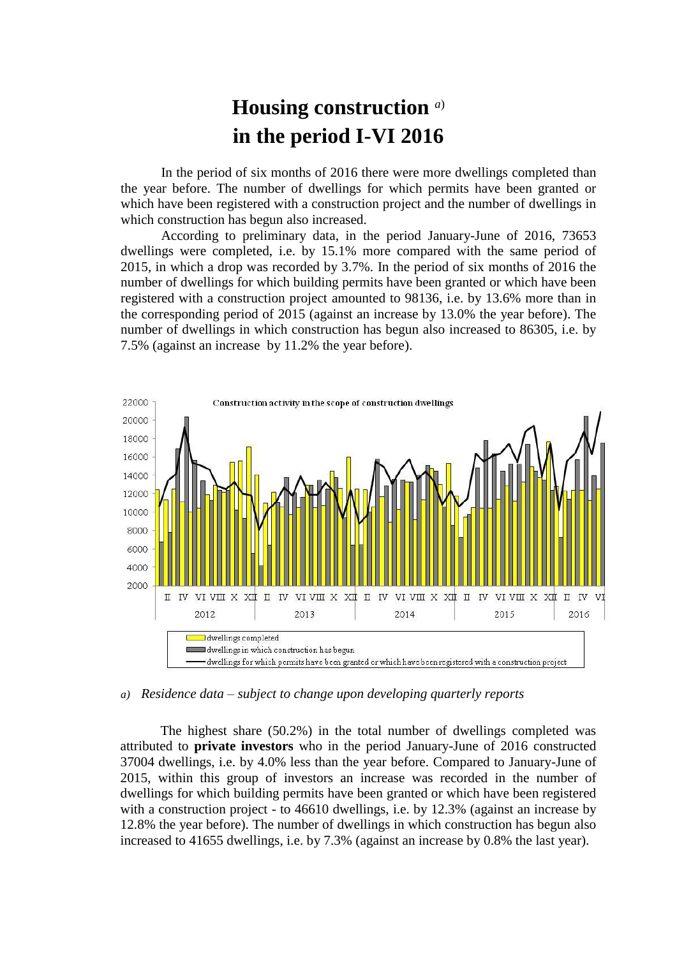## **Housing construction** *a*) **in the period I-VI 2016**

In the period of six months of 2016 there were more dwellings completed than the year before. The number of dwellings for which permits have been granted or which have been registered with a construction project and the number of dwellings in which construction has begun also increased.

According to preliminary data, in the period January-June of 2016, 73653 dwellings were completed, i.e. by 15.1% more compared with the same period of 2015, in which a drop was recorded by 3.7%. In the period of six months of 2016 the number of dwellings for which building permits have been granted or which have been registered with a construction project amounted to 98136, i.e. by 13.6% more than in the corresponding period of 2015 (against an increase by 13.0% the year before). The number of dwellings in which construction has begun also increased to 86305, i.e. by 7.5% (against an increase by 11.2% the year before).



*a) Residence data – subject to change upon developing quarterly reports*

The highest share (50.2%) in the total number of dwellings completed was attributed to **private investors** who in the period January-June of 2016 constructed 37004 dwellings, i.e. by 4.0% less than the year before. Compared to January-June of 2015, within this group of investors an increase was recorded in the number of dwellings for which building permits have been granted or which have been registered with a construction project - to 46610 dwellings, i.e. by 12.3% (against an increase by 12.8% the year before). The number of dwellings in which construction has begun also increased to 41655 dwellings, i.e. by 7.3% (against an increase by 0.8% the last year).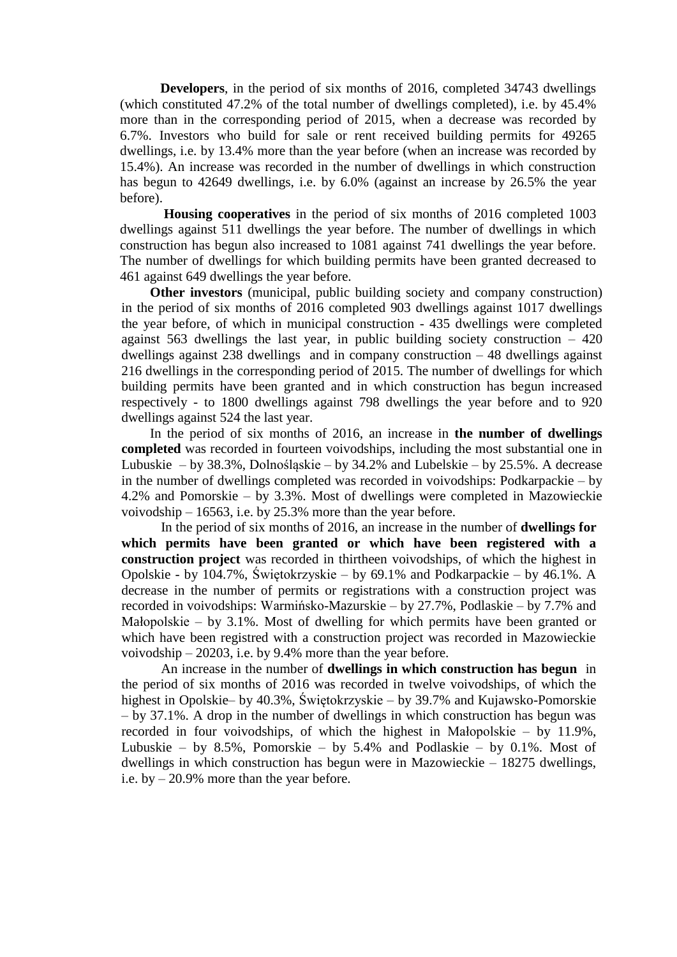**Developers**, in the period of six months of 2016, completed 34743 dwellings (which constituted 47.2% of the total number of dwellings completed), i.e. by 45.4% more than in the corresponding period of 2015, when a decrease was recorded by 6.7%. Investors who build for sale or rent received building permits for 49265 dwellings, i.e. by 13.4% more than the year before (when an increase was recorded by 15.4%). An increase was recorded in the number of dwellings in which construction has begun to 42649 dwellings, i.e. by 6.0% (against an increase by 26.5% the year before).

**Housing cooperatives** in the period of six months of 2016 completed 1003 dwellings against 511 dwellings the year before. The number of dwellings in which construction has begun also increased to 1081 against 741 dwellings the year before. The number of dwellings for which building permits have been granted decreased to 461 against 649 dwellings the year before.

**Other investors** (municipal, public building society and company construction) in the period of six months of 2016 completed 903 dwellings against 1017 dwellings the year before, of which in municipal construction - 435 dwellings were completed against 563 dwellings the last year, in public building society construction – 420 dwellings against 238 dwellings and in company construction – 48 dwellings against 216 dwellings in the corresponding period of 2015. The number of dwellings for which building permits have been granted and in which construction has begun increased respectively - to 1800 dwellings against 798 dwellings the year before and to 920 dwellings against 524 the last year.

In the period of six months of 2016, an increase in **the number of dwellings completed** was recorded in fourteen voivodships, including the most substantial one in Lubuskie – by 38.3%, Dolnośląskie – by 34.2% and Lubelskie – by 25.5%. A decrease in the number of dwellings completed was recorded in voivodships: Podkarpackie – by 4.2% and Pomorskie – by 3.3%. Most of dwellings were completed in Mazowieckie voivodship – 16563, i.e. by 25.3% more than the year before.

In the period of six months of 2016, an increase in the number of **dwellings for which permits have been granted or which have been registered with a construction project** was recorded in thirtheen voivodships, of which the highest in Opolskie - by 104.7%, Świętokrzyskie – by 69.1% and Podkarpackie – by 46.1%. A decrease in the number of permits or registrations with a construction project was recorded in voivodships: Warmińsko-Mazurskie – by 27.7%, Podlaskie – by 7.7% and Małopolskie – by 3.1%. Most of dwelling for which permits have been granted or which have been registred with a construction project was recorded in Mazowieckie voivodship – 20203, i.e. by 9.4% more than the year before.

An increase in the number of **dwellings in which construction has begun** in the period of six months of 2016 was recorded in twelve voivodships, of which the highest in Opolskie– by 40.3%, Świętokrzyskie – by 39.7% and Kujawsko-Pomorskie – by 37.1%. A drop in the number of dwellings in which construction has begun was recorded in four voivodships, of which the highest in Małopolskie – by 11.9%, Lubuskie – by 8.5%, Pomorskie – by 5.4% and Podlaskie – by 0.1%. Most of dwellings in which construction has begun were in Mazowieckie – 18275 dwellings, i.e. by – 20.9% more than the year before.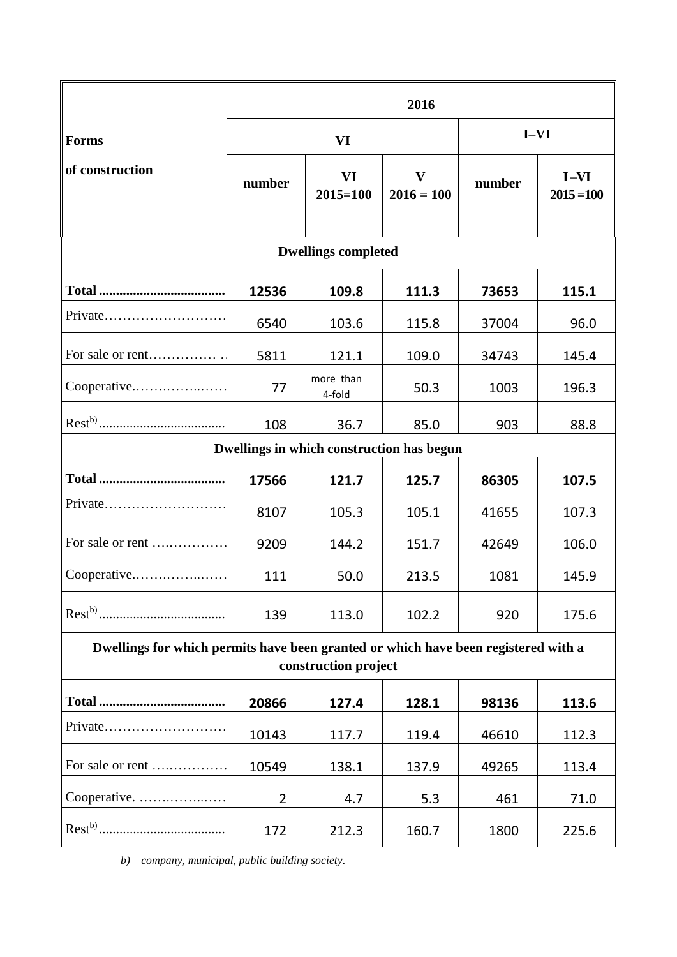|                                                                                                            | 2016           |                           |                              |        |                        |
|------------------------------------------------------------------------------------------------------------|----------------|---------------------------|------------------------------|--------|------------------------|
| <b>Forms</b>                                                                                               | VI             |                           |                              | $I-VI$ |                        |
| of construction                                                                                            | number         | <b>VI</b><br>$2015 = 100$ | $\mathbf{V}$<br>$2016 = 100$ | number | $I-VI$<br>$2015 = 100$ |
| <b>Dwellings completed</b>                                                                                 |                |                           |                              |        |                        |
|                                                                                                            | 12536          | 109.8                     | 111.3                        | 73653  | 115.1                  |
|                                                                                                            | 6540           | 103.6                     | 115.8                        | 37004  | 96.0                   |
| For sale or rent                                                                                           | 5811           | 121.1                     | 109.0                        | 34743  | 145.4                  |
| Cooperative                                                                                                | 77             | more than<br>4-fold       | 50.3                         | 1003   | 196.3                  |
|                                                                                                            | 108            | 36.7                      | 85.0                         | 903    | 88.8                   |
| Dwellings in which construction has begun                                                                  |                |                           |                              |        |                        |
|                                                                                                            | 17566          | 121.7                     | 125.7                        | 86305  | 107.5                  |
| $Private$                                                                                                  | 8107           | 105.3                     | 105.1                        | 41655  | 107.3                  |
| For sale or rent                                                                                           | 9209           | 144.2                     | 151.7                        | 42649  | 106.0                  |
| Cooperative                                                                                                | 111            | 50.0                      | 213.5                        | 1081   | 145.9                  |
|                                                                                                            | 139            | 113.0                     | 102.2                        | 920    | 175.6                  |
| Dwellings for which permits have been granted or which have been registered with a<br>construction project |                |                           |                              |        |                        |
|                                                                                                            |                |                           |                              |        |                        |
|                                                                                                            | 20866          | 127.4                     | 128.1                        | 98136  | 113.6                  |
| Private                                                                                                    | 10143          | 117.7                     | 119.4                        | 46610  | 112.3                  |
| For sale or rent                                                                                           | 10549          | 138.1                     | 137.9                        | 49265  | 113.4                  |
| Cooperative.                                                                                               | $\overline{2}$ | 4.7                       | 5.3                          | 461    | 71.0                   |

..................................... 172 212.3 160.7 1800 225.6

*b) company, municipal, public building society.*

 $Rest<sup>b)</sup>$ ........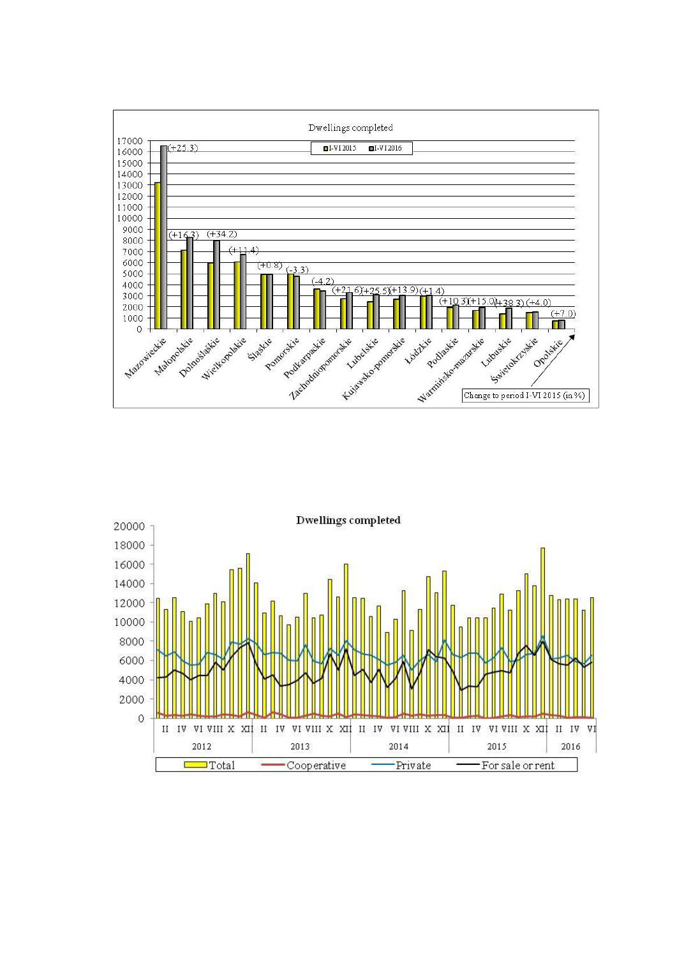